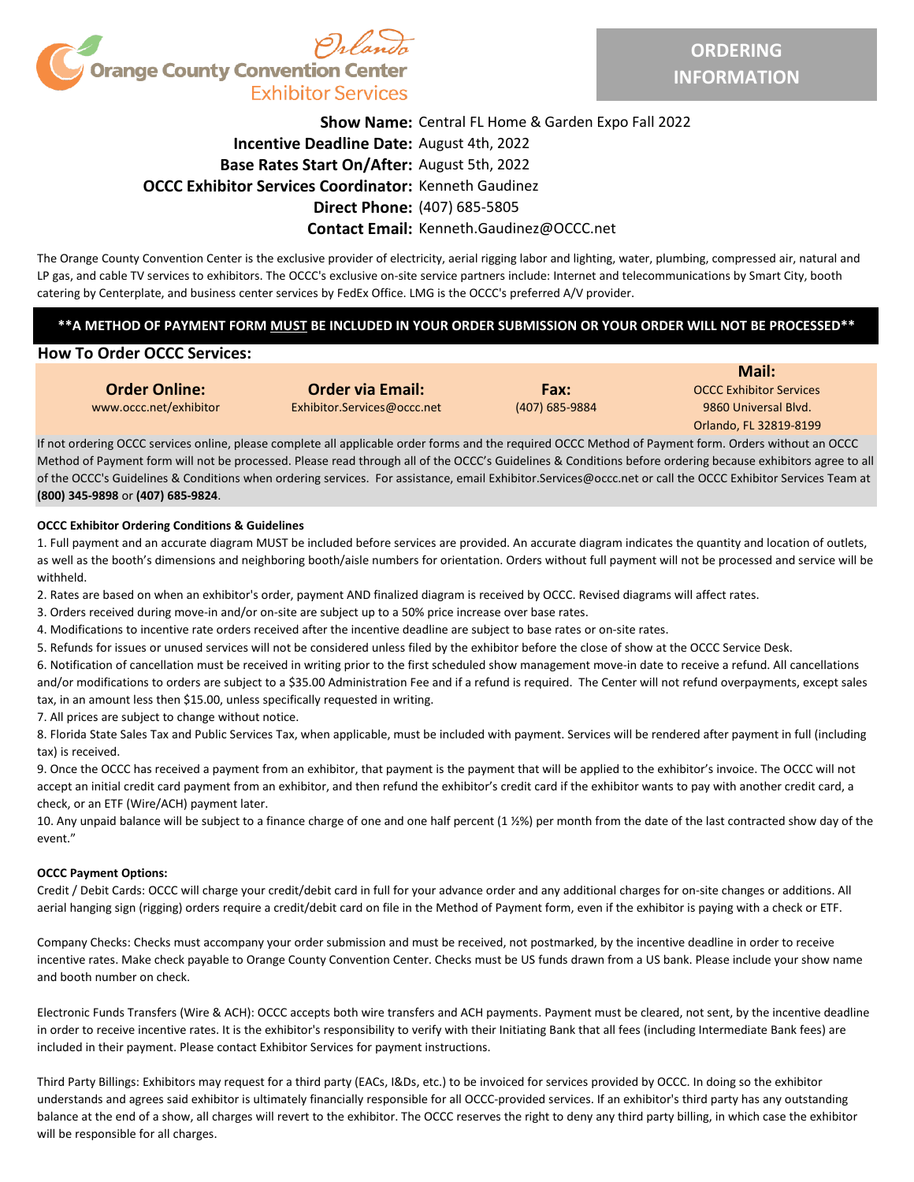

## **Show Name:** Central FL Home & Garden Expo Fall 2022 **Incentive Deadline Date:** August 4th, 2022 **Base Rates Start On/After:** August 5th, 2022 **OCCC Exhibitor Services Coordinator:** Kenneth Gaudinez **Direct Phone:** (407) 685-5805

## **Contact Email:** Kenneth.Gaudinez@OCCC.net

The Orange County Convention Center is the exclusive provider of electricity, aerial rigging labor and lighting, water, plumbing, compressed air, natural and LP gas, and cable TV services to exhibitors. The OCCC's exclusive on-site service partners include: Internet and telecommunications by Smart City, booth catering by Centerplate, and business center services by FedEx Office. LMG is the OCCC's preferred A/V provider.

### **\*\*A METHOD OF PAYMENT FORM MUST BE INCLUDED IN YOUR ORDER SUBMISSION OR YOUR ORDER WILL NOT BE PROCESSED\*\***

### **How To Order OCCC Services:**

| <b>Order Online:</b>     |
|--------------------------|
| uuuu occc not loyhihitor |

www.occc.net/exhibitor Exhibitor.Services@occc.net (407) 685-9884 9860 Universal Blvd. **Order via Email: Fax: Fax:** OCCC Exhibitor Services

Orlando, FL 32819-8199 **Mail:**

If not ordering OCCC services online, please complete all applicable order forms and the required OCCC Method of Payment form. Orders without an OCCC Method of Payment form will not be processed. Please read through all of the OCCC's Guidelines & Conditions before ordering because exhibitors agree to all of the OCCC's Guidelines & Conditions when ordering services. For assistance, email Exhibitor.Services@occc.net or call the OCCC Exhibitor Services Team at **(800) 345-9898** or **(407) 685-9824**.

#### **OCCC Exhibitor Ordering Conditions & Guidelines**

1. Full payment and an accurate diagram MUST be included before services are provided. An accurate diagram indicates the quantity and location of outlets, as well as the booth's dimensions and neighboring booth/aisle numbers for orientation. Orders without full payment will not be processed and service will be withheld.

2. Rates are based on when an exhibitor's order, payment AND finalized diagram is received by OCCC. Revised diagrams will affect rates.

3. Orders received during move-in and/or on-site are subject up to a 50% price increase over base rates.

4. Modifications to incentive rate orders received after the incentive deadline are subject to base rates or on-site rates.

5. Refunds for issues or unused services will not be considered unless filed by the exhibitor before the close of show at the OCCC Service Desk.

6. Notification of cancellation must be received in writing prior to the first scheduled show management move-in date to receive a refund. All cancellations and/or modifications to orders are subject to a \$35.00 Administration Fee and if a refund is required. The Center will not refund overpayments, except sales tax, in an amount less then \$15.00, unless specifically requested in writing.

7. All prices are subject to change without notice.

8. Florida State Sales Tax and Public Services Tax, when applicable, must be included with payment. Services will be rendered after payment in full (including tax) is received.

9. Once the OCCC has received a payment from an exhibitor, that payment is the payment that will be applied to the exhibitor's invoice. The OCCC will not accept an initial credit card payment from an exhibitor, and then refund the exhibitor's credit card if the exhibitor wants to pay with another credit card, a check, or an ETF (Wire/ACH) payment later.

10. Any unpaid balance will be subject to a finance charge of one and one half percent (1 ½%) per month from the date of the last contracted show day of the event."

#### **OCCC Payment Options:**

Credit / Debit Cards: OCCC will charge your credit/debit card in full for your advance order and any additional charges for on-site changes or additions. All aerial hanging sign (rigging) orders require a credit/debit card on file in the Method of Payment form, even if the exhibitor is paying with a check or ETF.

Company Checks: Checks must accompany your order submission and must be received, not postmarked, by the incentive deadline in order to receive incentive rates. Make check payable to Orange County Convention Center. Checks must be US funds drawn from a US bank. Please include your show name and booth number on check.

Electronic Funds Transfers (Wire & ACH): OCCC accepts both wire transfers and ACH payments. Payment must be cleared, not sent, by the incentive deadline in order to receive incentive rates. It is the exhibitor's responsibility to verify with their Initiating Bank that all fees (including Intermediate Bank fees) are included in their payment. Please contact Exhibitor Services for payment instructions.

Third Party Billings: Exhibitors may request for a third party (EACs, I&Ds, etc.) to be invoiced for services provided by OCCC. In doing so the exhibitor understands and agrees said exhibitor is ultimately financially responsible for all OCCC-provided services. If an exhibitor's third party has any outstanding balance at the end of a show, all charges will revert to the exhibitor. The OCCC reserves the right to deny any third party billing, in which case the exhibitor will be responsible for all charges.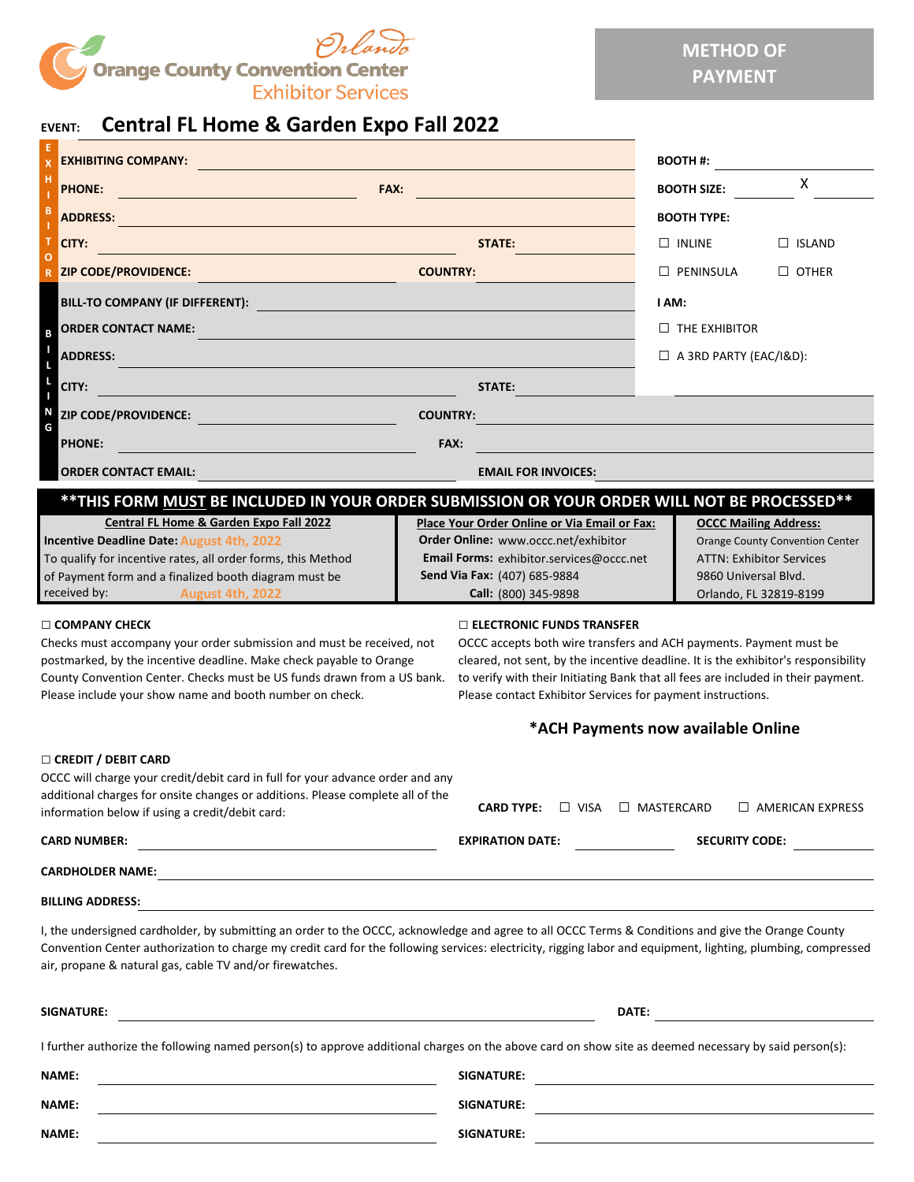

# **EVENT: Central FL Home & Garden Expo Fall 2022**

| Contrar refronte & Garach Exportant EULE                                                                                                                                                                                                                                                                                                                                        |                                                                                                                                                                                                                                                                                                                                                  |                                                                                                                                                             |  |  |  |
|---------------------------------------------------------------------------------------------------------------------------------------------------------------------------------------------------------------------------------------------------------------------------------------------------------------------------------------------------------------------------------|--------------------------------------------------------------------------------------------------------------------------------------------------------------------------------------------------------------------------------------------------------------------------------------------------------------------------------------------------|-------------------------------------------------------------------------------------------------------------------------------------------------------------|--|--|--|
| <b>EXHIBITING COMPANY:</b>                                                                                                                                                                                                                                                                                                                                                      |                                                                                                                                                                                                                                                                                                                                                  | <b>BOOTH#:</b>                                                                                                                                              |  |  |  |
| FAX:<br><b>PHONE:</b>                                                                                                                                                                                                                                                                                                                                                           |                                                                                                                                                                                                                                                                                                                                                  | X<br><b>BOOTH SIZE:</b>                                                                                                                                     |  |  |  |
| <b>ADDRESS:</b>                                                                                                                                                                                                                                                                                                                                                                 |                                                                                                                                                                                                                                                                                                                                                  | <b>BOOTH TYPE:</b>                                                                                                                                          |  |  |  |
| <b>CITY:</b>                                                                                                                                                                                                                                                                                                                                                                    | STATE:                                                                                                                                                                                                                                                                                                                                           | $\Box$ INLINE<br>$\Box$ ISLAND                                                                                                                              |  |  |  |
| <b>ZIP CODE/PROVIDENCE:</b>                                                                                                                                                                                                                                                                                                                                                     | <b>COUNTRY:</b>                                                                                                                                                                                                                                                                                                                                  | $\Box$ other<br>$\Box$ PENINSULA                                                                                                                            |  |  |  |
| BILL-TO COMPANY (IF DIFFERENT):                                                                                                                                                                                                                                                                                                                                                 |                                                                                                                                                                                                                                                                                                                                                  | I AM:<br>$\Box$ THE EXHIBITOR                                                                                                                               |  |  |  |
| <b>ORDER CONTACT NAME:</b><br>B                                                                                                                                                                                                                                                                                                                                                 |                                                                                                                                                                                                                                                                                                                                                  |                                                                                                                                                             |  |  |  |
| <b>ADDRESS:</b>                                                                                                                                                                                                                                                                                                                                                                 |                                                                                                                                                                                                                                                                                                                                                  | $\Box$ A 3RD PARTY (EAC/I&D):                                                                                                                               |  |  |  |
| ı<br>CITY:                                                                                                                                                                                                                                                                                                                                                                      | STATE:                                                                                                                                                                                                                                                                                                                                           |                                                                                                                                                             |  |  |  |
| N<br><b>ZIP CODE/PROVIDENCE:</b>                                                                                                                                                                                                                                                                                                                                                | <b>COUNTRY:</b>                                                                                                                                                                                                                                                                                                                                  |                                                                                                                                                             |  |  |  |
| G<br><b>PHONE:</b>                                                                                                                                                                                                                                                                                                                                                              | FAX:                                                                                                                                                                                                                                                                                                                                             |                                                                                                                                                             |  |  |  |
| <b>ORDER CONTACT EMAIL:</b>                                                                                                                                                                                                                                                                                                                                                     | <b>EMAIL FOR INVOICES:</b>                                                                                                                                                                                                                                                                                                                       |                                                                                                                                                             |  |  |  |
| **THIS FORM MUST BE INCLUDED IN YOUR ORDER SUBMISSION OR YOUR ORDER WILL NOT BE PROCESSED**                                                                                                                                                                                                                                                                                     |                                                                                                                                                                                                                                                                                                                                                  |                                                                                                                                                             |  |  |  |
| Central FL Home & Garden Expo Fall 2022<br>Incentive Deadline Date: August 4th, 2022<br>To qualify for incentive rates, all order forms, this Method<br>of Payment form and a finalized booth diagram must be<br>received by:<br><b>August 4th, 2022</b>                                                                                                                        | <b>Place Your Order Online or Via Email or Fax:</b><br>Order Online: www.occc.net/exhibitor<br>Email Forms: exhibitor.services@occc.net<br>Send Via Fax: (407) 685-9884<br>Call: (800) 345-9898                                                                                                                                                  | <b>OCCC Mailing Address:</b><br><b>Orange County Convention Center</b><br><b>ATTN: Exhibitor Services</b><br>9860 Universal Blvd.<br>Orlando, FL 32819-8199 |  |  |  |
| $\Box$ COMPANY CHECK<br>Checks must accompany your order submission and must be received, not<br>postmarked, by the incentive deadline. Make check payable to Orange<br>County Convention Center. Checks must be US funds drawn from a US bank.<br>Please include your show name and booth number on check.                                                                     | $\Box$ ELECTRONIC FUNDS TRANSFER<br>OCCC accepts both wire transfers and ACH payments. Payment must be<br>cleared, not sent, by the incentive deadline. It is the exhibitor's responsibility<br>to verify with their Initiating Bank that all fees are included in their payment.<br>Please contact Exhibitor Services for payment instructions. |                                                                                                                                                             |  |  |  |
|                                                                                                                                                                                                                                                                                                                                                                                 | *ACH Payments now available Online                                                                                                                                                                                                                                                                                                               |                                                                                                                                                             |  |  |  |
| □ CREDIT / DEBIT CARD<br>OCCC will charge your credit/debit card in full for your advance order and any<br>additional charges for onsite changes or additions. Please complete all of the<br>information below if using a credit/debit card:                                                                                                                                    | <b>CARD TYPE:</b><br>$\Box$ VISA $\Box$ MASTERCARD                                                                                                                                                                                                                                                                                               | $\Box$ AMERICAN EXPRESS                                                                                                                                     |  |  |  |
| <u> 1989 - Johann Barn, mars eta bainar eta hiri (h. 1989).</u><br><b>CARD NUMBER:</b>                                                                                                                                                                                                                                                                                          | <b>EXPIRATION DATE:</b>                                                                                                                                                                                                                                                                                                                          | <b>SECURITY CODE:</b>                                                                                                                                       |  |  |  |
|                                                                                                                                                                                                                                                                                                                                                                                 |                                                                                                                                                                                                                                                                                                                                                  |                                                                                                                                                             |  |  |  |
| <b>BILLING ADDRESS:</b>                                                                                                                                                                                                                                                                                                                                                         |                                                                                                                                                                                                                                                                                                                                                  |                                                                                                                                                             |  |  |  |
| I, the undersigned cardholder, by submitting an order to the OCCC, acknowledge and agree to all OCCC Terms & Conditions and give the Orange County<br>Convention Center authorization to charge my credit card for the following services: electricity, rigging labor and equipment, lighting, plumbing, compressed<br>air, propane & natural gas, cable TV and/or firewatches. |                                                                                                                                                                                                                                                                                                                                                  |                                                                                                                                                             |  |  |  |
| SIGNATURE:                                                                                                                                                                                                                                                                                                                                                                      |                                                                                                                                                                                                                                                                                                                                                  |                                                                                                                                                             |  |  |  |
| I further authorize the following named person(s) to approve additional charges on the above card on show site as deemed necessary by said person(s):                                                                                                                                                                                                                           |                                                                                                                                                                                                                                                                                                                                                  |                                                                                                                                                             |  |  |  |

**NAME: SIGNATURE: NAME: SIGNATURE: NAME: SIGNATURE:**